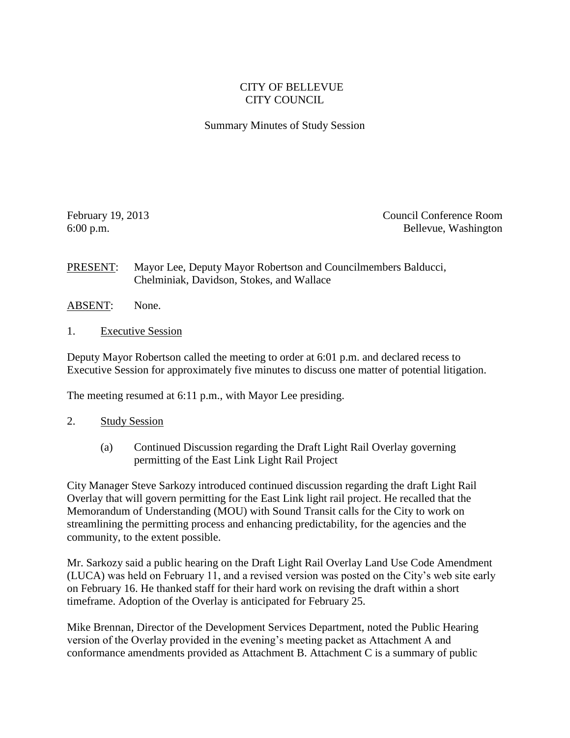## CITY OF BELLEVUE CITY COUNCIL

## Summary Minutes of Study Session

February 19, 2013 Council Conference Room 6:00 p.m. Bellevue, Washington

PRESENT: Mayor Lee, Deputy Mayor Robertson and Councilmembers Balducci, Chelminiak, Davidson, Stokes, and Wallace

- ABSENT: None.
- 1. Executive Session

Deputy Mayor Robertson called the meeting to order at 6:01 p.m. and declared recess to Executive Session for approximately five minutes to discuss one matter of potential litigation.

The meeting resumed at 6:11 p.m., with Mayor Lee presiding.

- 2. Study Session
	- (a) Continued Discussion regarding the Draft Light Rail Overlay governing permitting of the East Link Light Rail Project

City Manager Steve Sarkozy introduced continued discussion regarding the draft Light Rail Overlay that will govern permitting for the East Link light rail project. He recalled that the Memorandum of Understanding (MOU) with Sound Transit calls for the City to work on streamlining the permitting process and enhancing predictability, for the agencies and the community, to the extent possible.

Mr. Sarkozy said a public hearing on the Draft Light Rail Overlay Land Use Code Amendment (LUCA) was held on February 11, and a revised version was posted on the City's web site early on February 16. He thanked staff for their hard work on revising the draft within a short timeframe. Adoption of the Overlay is anticipated for February 25.

Mike Brennan, Director of the Development Services Department, noted the Public Hearing version of the Overlay provided in the evening's meeting packet as Attachment A and conformance amendments provided as Attachment B. Attachment C is a summary of public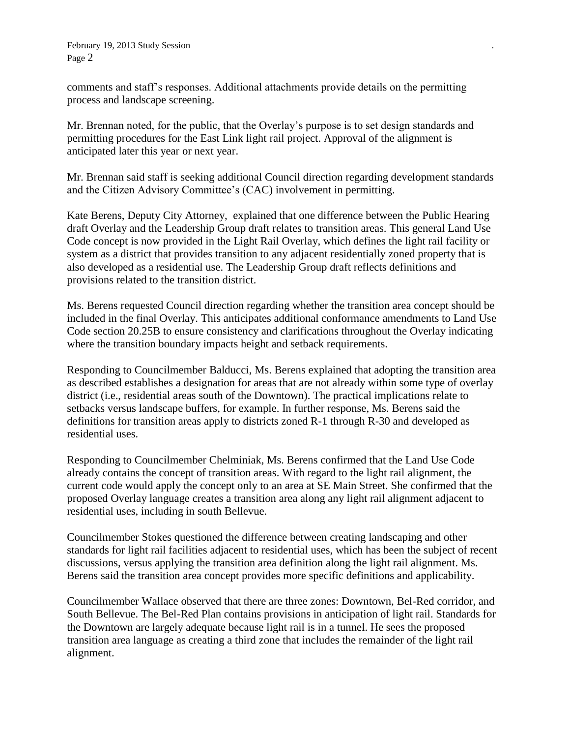comments and staff's responses. Additional attachments provide details on the permitting process and landscape screening.

Mr. Brennan noted, for the public, that the Overlay's purpose is to set design standards and permitting procedures for the East Link light rail project. Approval of the alignment is anticipated later this year or next year.

Mr. Brennan said staff is seeking additional Council direction regarding development standards and the Citizen Advisory Committee's (CAC) involvement in permitting.

Kate Berens, Deputy City Attorney, explained that one difference between the Public Hearing draft Overlay and the Leadership Group draft relates to transition areas. This general Land Use Code concept is now provided in the Light Rail Overlay, which defines the light rail facility or system as a district that provides transition to any adjacent residentially zoned property that is also developed as a residential use. The Leadership Group draft reflects definitions and provisions related to the transition district.

Ms. Berens requested Council direction regarding whether the transition area concept should be included in the final Overlay. This anticipates additional conformance amendments to Land Use Code section 20.25B to ensure consistency and clarifications throughout the Overlay indicating where the transition boundary impacts height and setback requirements.

Responding to Councilmember Balducci, Ms. Berens explained that adopting the transition area as described establishes a designation for areas that are not already within some type of overlay district (i.e., residential areas south of the Downtown). The practical implications relate to setbacks versus landscape buffers, for example. In further response, Ms. Berens said the definitions for transition areas apply to districts zoned R-1 through R-30 and developed as residential uses.

Responding to Councilmember Chelminiak, Ms. Berens confirmed that the Land Use Code already contains the concept of transition areas. With regard to the light rail alignment, the current code would apply the concept only to an area at SE Main Street. She confirmed that the proposed Overlay language creates a transition area along any light rail alignment adjacent to residential uses, including in south Bellevue.

Councilmember Stokes questioned the difference between creating landscaping and other standards for light rail facilities adjacent to residential uses, which has been the subject of recent discussions, versus applying the transition area definition along the light rail alignment. Ms. Berens said the transition area concept provides more specific definitions and applicability.

Councilmember Wallace observed that there are three zones: Downtown, Bel-Red corridor, and South Bellevue. The Bel-Red Plan contains provisions in anticipation of light rail. Standards for the Downtown are largely adequate because light rail is in a tunnel. He sees the proposed transition area language as creating a third zone that includes the remainder of the light rail alignment.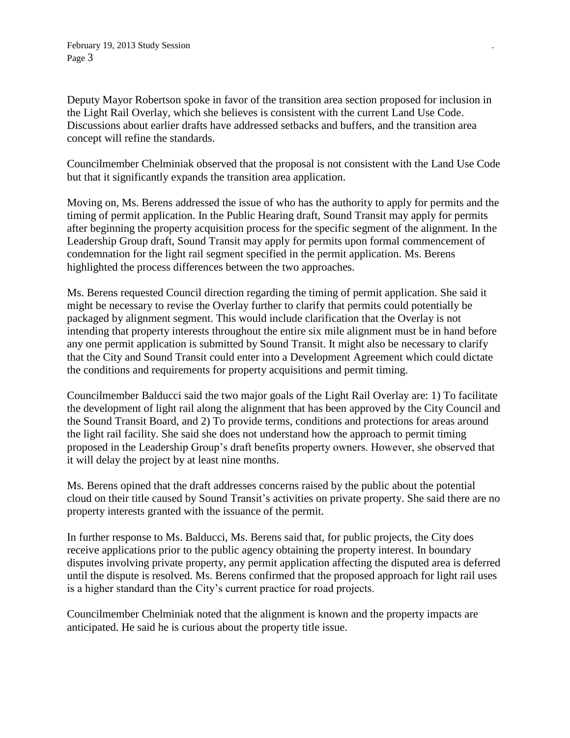Deputy Mayor Robertson spoke in favor of the transition area section proposed for inclusion in the Light Rail Overlay, which she believes is consistent with the current Land Use Code. Discussions about earlier drafts have addressed setbacks and buffers, and the transition area concept will refine the standards.

Councilmember Chelminiak observed that the proposal is not consistent with the Land Use Code but that it significantly expands the transition area application.

Moving on, Ms. Berens addressed the issue of who has the authority to apply for permits and the timing of permit application. In the Public Hearing draft, Sound Transit may apply for permits after beginning the property acquisition process for the specific segment of the alignment. In the Leadership Group draft, Sound Transit may apply for permits upon formal commencement of condemnation for the light rail segment specified in the permit application. Ms. Berens highlighted the process differences between the two approaches.

Ms. Berens requested Council direction regarding the timing of permit application. She said it might be necessary to revise the Overlay further to clarify that permits could potentially be packaged by alignment segment. This would include clarification that the Overlay is not intending that property interests throughout the entire six mile alignment must be in hand before any one permit application is submitted by Sound Transit. It might also be necessary to clarify that the City and Sound Transit could enter into a Development Agreement which could dictate the conditions and requirements for property acquisitions and permit timing.

Councilmember Balducci said the two major goals of the Light Rail Overlay are: 1) To facilitate the development of light rail along the alignment that has been approved by the City Council and the Sound Transit Board, and 2) To provide terms, conditions and protections for areas around the light rail facility. She said she does not understand how the approach to permit timing proposed in the Leadership Group's draft benefits property owners. However, she observed that it will delay the project by at least nine months.

Ms. Berens opined that the draft addresses concerns raised by the public about the potential cloud on their title caused by Sound Transit's activities on private property. She said there are no property interests granted with the issuance of the permit.

In further response to Ms. Balducci, Ms. Berens said that, for public projects, the City does receive applications prior to the public agency obtaining the property interest. In boundary disputes involving private property, any permit application affecting the disputed area is deferred until the dispute is resolved. Ms. Berens confirmed that the proposed approach for light rail uses is a higher standard than the City's current practice for road projects.

Councilmember Chelminiak noted that the alignment is known and the property impacts are anticipated. He said he is curious about the property title issue.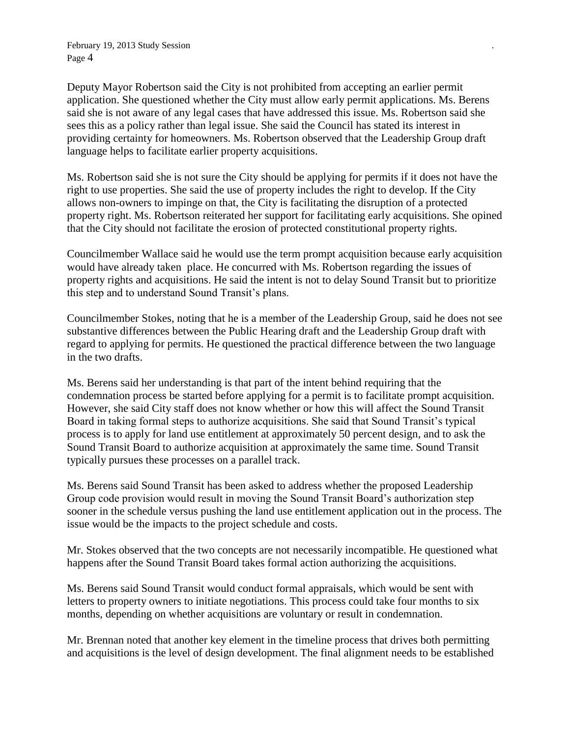February 19, 2013 Study Session *.* Page 4

Deputy Mayor Robertson said the City is not prohibited from accepting an earlier permit application. She questioned whether the City must allow early permit applications. Ms. Berens said she is not aware of any legal cases that have addressed this issue. Ms. Robertson said she sees this as a policy rather than legal issue. She said the Council has stated its interest in providing certainty for homeowners. Ms. Robertson observed that the Leadership Group draft language helps to facilitate earlier property acquisitions.

Ms. Robertson said she is not sure the City should be applying for permits if it does not have the right to use properties. She said the use of property includes the right to develop. If the City allows non-owners to impinge on that, the City is facilitating the disruption of a protected property right. Ms. Robertson reiterated her support for facilitating early acquisitions. She opined that the City should not facilitate the erosion of protected constitutional property rights.

Councilmember Wallace said he would use the term prompt acquisition because early acquisition would have already taken place. He concurred with Ms. Robertson regarding the issues of property rights and acquisitions. He said the intent is not to delay Sound Transit but to prioritize this step and to understand Sound Transit's plans.

Councilmember Stokes, noting that he is a member of the Leadership Group, said he does not see substantive differences between the Public Hearing draft and the Leadership Group draft with regard to applying for permits. He questioned the practical difference between the two language in the two drafts.

Ms. Berens said her understanding is that part of the intent behind requiring that the condemnation process be started before applying for a permit is to facilitate prompt acquisition. However, she said City staff does not know whether or how this will affect the Sound Transit Board in taking formal steps to authorize acquisitions. She said that Sound Transit's typical process is to apply for land use entitlement at approximately 50 percent design, and to ask the Sound Transit Board to authorize acquisition at approximately the same time. Sound Transit typically pursues these processes on a parallel track.

Ms. Berens said Sound Transit has been asked to address whether the proposed Leadership Group code provision would result in moving the Sound Transit Board's authorization step sooner in the schedule versus pushing the land use entitlement application out in the process. The issue would be the impacts to the project schedule and costs.

Mr. Stokes observed that the two concepts are not necessarily incompatible. He questioned what happens after the Sound Transit Board takes formal action authorizing the acquisitions.

Ms. Berens said Sound Transit would conduct formal appraisals, which would be sent with letters to property owners to initiate negotiations. This process could take four months to six months, depending on whether acquisitions are voluntary or result in condemnation.

Mr. Brennan noted that another key element in the timeline process that drives both permitting and acquisitions is the level of design development. The final alignment needs to be established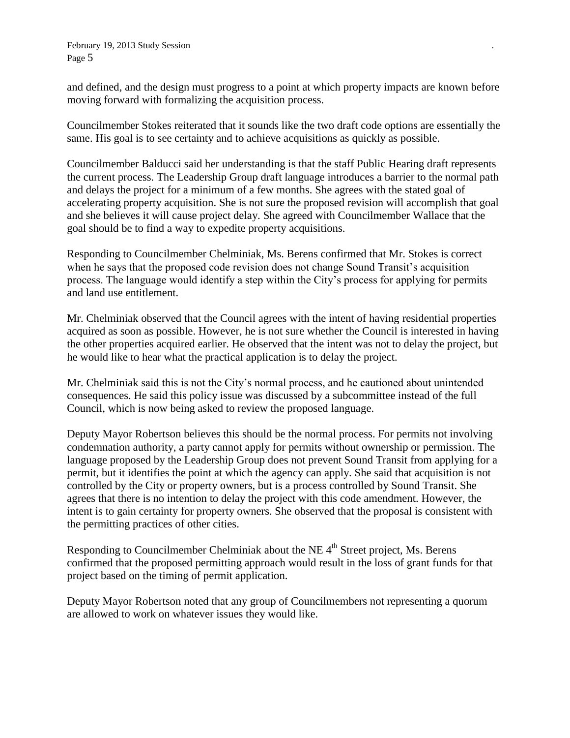February 19, 2013 Study Session *.* Page 5

and defined, and the design must progress to a point at which property impacts are known before moving forward with formalizing the acquisition process.

Councilmember Stokes reiterated that it sounds like the two draft code options are essentially the same. His goal is to see certainty and to achieve acquisitions as quickly as possible.

Councilmember Balducci said her understanding is that the staff Public Hearing draft represents the current process. The Leadership Group draft language introduces a barrier to the normal path and delays the project for a minimum of a few months. She agrees with the stated goal of accelerating property acquisition. She is not sure the proposed revision will accomplish that goal and she believes it will cause project delay. She agreed with Councilmember Wallace that the goal should be to find a way to expedite property acquisitions.

Responding to Councilmember Chelminiak, Ms. Berens confirmed that Mr. Stokes is correct when he says that the proposed code revision does not change Sound Transit's acquisition process. The language would identify a step within the City's process for applying for permits and land use entitlement.

Mr. Chelminiak observed that the Council agrees with the intent of having residential properties acquired as soon as possible. However, he is not sure whether the Council is interested in having the other properties acquired earlier. He observed that the intent was not to delay the project, but he would like to hear what the practical application is to delay the project.

Mr. Chelminiak said this is not the City's normal process, and he cautioned about unintended consequences. He said this policy issue was discussed by a subcommittee instead of the full Council, which is now being asked to review the proposed language.

Deputy Mayor Robertson believes this should be the normal process. For permits not involving condemnation authority, a party cannot apply for permits without ownership or permission. The language proposed by the Leadership Group does not prevent Sound Transit from applying for a permit, but it identifies the point at which the agency can apply. She said that acquisition is not controlled by the City or property owners, but is a process controlled by Sound Transit. She agrees that there is no intention to delay the project with this code amendment. However, the intent is to gain certainty for property owners. She observed that the proposal is consistent with the permitting practices of other cities.

Responding to Councilmember Chelminiak about the NE 4<sup>th</sup> Street project, Ms. Berens confirmed that the proposed permitting approach would result in the loss of grant funds for that project based on the timing of permit application.

Deputy Mayor Robertson noted that any group of Councilmembers not representing a quorum are allowed to work on whatever issues they would like.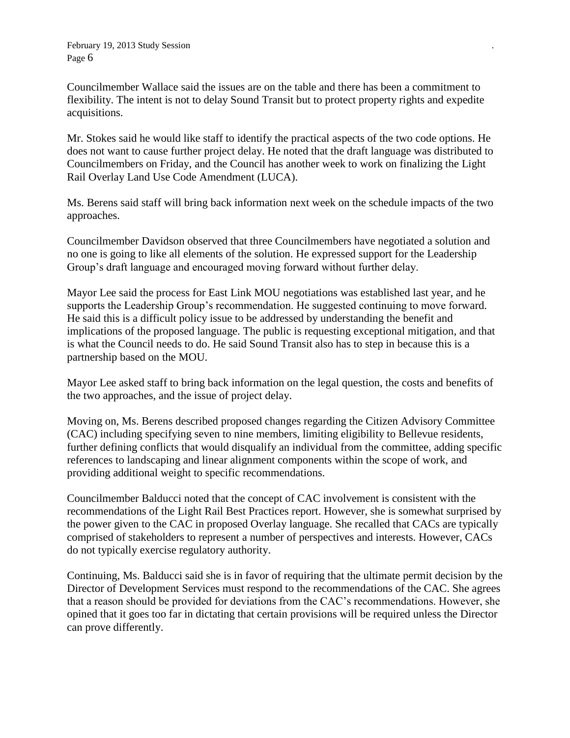Councilmember Wallace said the issues are on the table and there has been a commitment to flexibility. The intent is not to delay Sound Transit but to protect property rights and expedite acquisitions.

Mr. Stokes said he would like staff to identify the practical aspects of the two code options. He does not want to cause further project delay. He noted that the draft language was distributed to Councilmembers on Friday, and the Council has another week to work on finalizing the Light Rail Overlay Land Use Code Amendment (LUCA).

Ms. Berens said staff will bring back information next week on the schedule impacts of the two approaches.

Councilmember Davidson observed that three Councilmembers have negotiated a solution and no one is going to like all elements of the solution. He expressed support for the Leadership Group's draft language and encouraged moving forward without further delay.

Mayor Lee said the process for East Link MOU negotiations was established last year, and he supports the Leadership Group's recommendation. He suggested continuing to move forward. He said this is a difficult policy issue to be addressed by understanding the benefit and implications of the proposed language. The public is requesting exceptional mitigation, and that is what the Council needs to do. He said Sound Transit also has to step in because this is a partnership based on the MOU.

Mayor Lee asked staff to bring back information on the legal question, the costs and benefits of the two approaches, and the issue of project delay.

Moving on, Ms. Berens described proposed changes regarding the Citizen Advisory Committee (CAC) including specifying seven to nine members, limiting eligibility to Bellevue residents, further defining conflicts that would disqualify an individual from the committee, adding specific references to landscaping and linear alignment components within the scope of work, and providing additional weight to specific recommendations.

Councilmember Balducci noted that the concept of CAC involvement is consistent with the recommendations of the Light Rail Best Practices report. However, she is somewhat surprised by the power given to the CAC in proposed Overlay language. She recalled that CACs are typically comprised of stakeholders to represent a number of perspectives and interests. However, CACs do not typically exercise regulatory authority.

Continuing, Ms. Balducci said she is in favor of requiring that the ultimate permit decision by the Director of Development Services must respond to the recommendations of the CAC. She agrees that a reason should be provided for deviations from the CAC's recommendations. However, she opined that it goes too far in dictating that certain provisions will be required unless the Director can prove differently.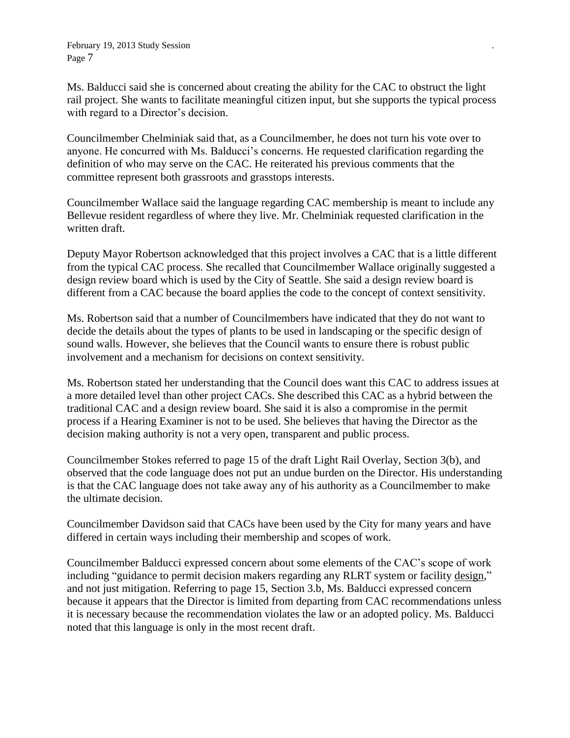Ms. Balducci said she is concerned about creating the ability for the CAC to obstruct the light rail project. She wants to facilitate meaningful citizen input, but she supports the typical process with regard to a Director's decision.

Councilmember Chelminiak said that, as a Councilmember, he does not turn his vote over to anyone. He concurred with Ms. Balducci's concerns. He requested clarification regarding the definition of who may serve on the CAC. He reiterated his previous comments that the committee represent both grassroots and grasstops interests.

Councilmember Wallace said the language regarding CAC membership is meant to include any Bellevue resident regardless of where they live. Mr. Chelminiak requested clarification in the written draft.

Deputy Mayor Robertson acknowledged that this project involves a CAC that is a little different from the typical CAC process. She recalled that Councilmember Wallace originally suggested a design review board which is used by the City of Seattle. She said a design review board is different from a CAC because the board applies the code to the concept of context sensitivity.

Ms. Robertson said that a number of Councilmembers have indicated that they do not want to decide the details about the types of plants to be used in landscaping or the specific design of sound walls. However, she believes that the Council wants to ensure there is robust public involvement and a mechanism for decisions on context sensitivity.

Ms. Robertson stated her understanding that the Council does want this CAC to address issues at a more detailed level than other project CACs. She described this CAC as a hybrid between the traditional CAC and a design review board. She said it is also a compromise in the permit process if a Hearing Examiner is not to be used. She believes that having the Director as the decision making authority is not a very open, transparent and public process.

Councilmember Stokes referred to page 15 of the draft Light Rail Overlay, Section 3(b), and observed that the code language does not put an undue burden on the Director. His understanding is that the CAC language does not take away any of his authority as a Councilmember to make the ultimate decision.

Councilmember Davidson said that CACs have been used by the City for many years and have differed in certain ways including their membership and scopes of work.

Councilmember Balducci expressed concern about some elements of the CAC's scope of work including "guidance to permit decision makers regarding any RLRT system or facility design," and not just mitigation. Referring to page 15, Section 3.b, Ms. Balducci expressed concern because it appears that the Director is limited from departing from CAC recommendations unless it is necessary because the recommendation violates the law or an adopted policy. Ms. Balducci noted that this language is only in the most recent draft.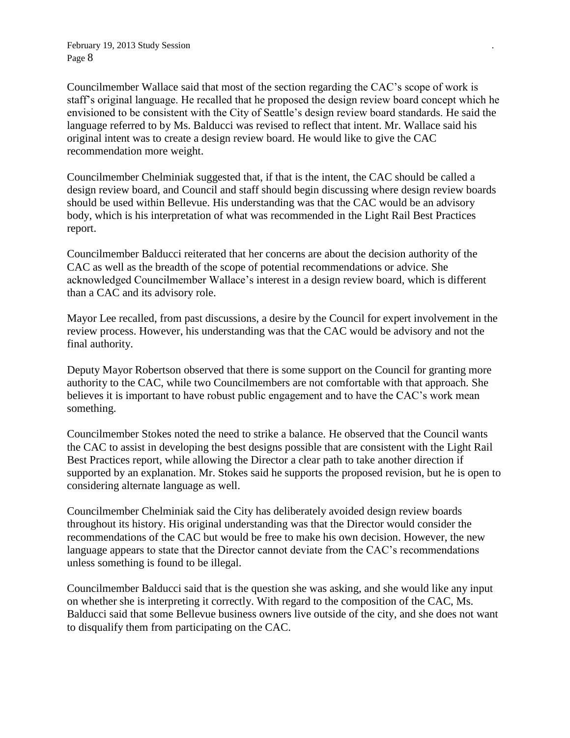Councilmember Wallace said that most of the section regarding the CAC's scope of work is staff's original language. He recalled that he proposed the design review board concept which he envisioned to be consistent with the City of Seattle's design review board standards. He said the language referred to by Ms. Balducci was revised to reflect that intent. Mr. Wallace said his original intent was to create a design review board. He would like to give the CAC recommendation more weight.

Councilmember Chelminiak suggested that, if that is the intent, the CAC should be called a design review board, and Council and staff should begin discussing where design review boards should be used within Bellevue. His understanding was that the CAC would be an advisory body, which is his interpretation of what was recommended in the Light Rail Best Practices report.

Councilmember Balducci reiterated that her concerns are about the decision authority of the CAC as well as the breadth of the scope of potential recommendations or advice. She acknowledged Councilmember Wallace's interest in a design review board, which is different than a CAC and its advisory role.

Mayor Lee recalled, from past discussions, a desire by the Council for expert involvement in the review process. However, his understanding was that the CAC would be advisory and not the final authority.

Deputy Mayor Robertson observed that there is some support on the Council for granting more authority to the CAC, while two Councilmembers are not comfortable with that approach. She believes it is important to have robust public engagement and to have the CAC's work mean something.

Councilmember Stokes noted the need to strike a balance. He observed that the Council wants the CAC to assist in developing the best designs possible that are consistent with the Light Rail Best Practices report, while allowing the Director a clear path to take another direction if supported by an explanation. Mr. Stokes said he supports the proposed revision, but he is open to considering alternate language as well.

Councilmember Chelminiak said the City has deliberately avoided design review boards throughout its history. His original understanding was that the Director would consider the recommendations of the CAC but would be free to make his own decision. However, the new language appears to state that the Director cannot deviate from the CAC's recommendations unless something is found to be illegal.

Councilmember Balducci said that is the question she was asking, and she would like any input on whether she is interpreting it correctly. With regard to the composition of the CAC, Ms. Balducci said that some Bellevue business owners live outside of the city, and she does not want to disqualify them from participating on the CAC.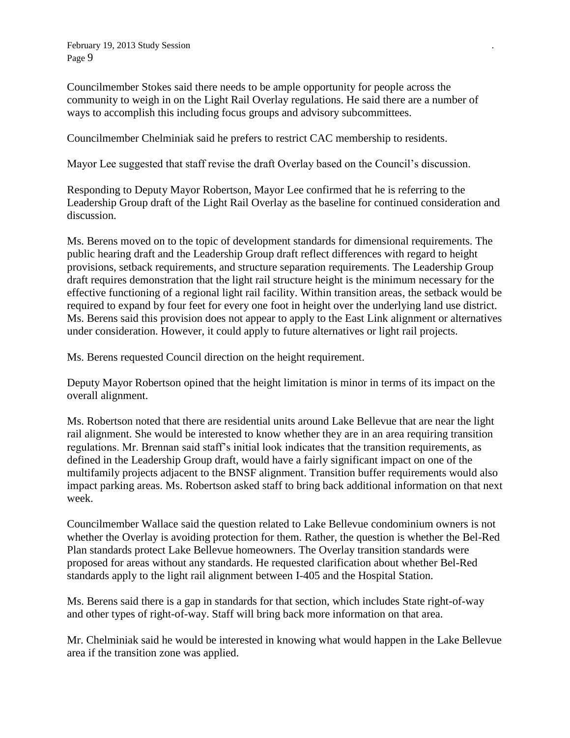Councilmember Stokes said there needs to be ample opportunity for people across the community to weigh in on the Light Rail Overlay regulations. He said there are a number of ways to accomplish this including focus groups and advisory subcommittees.

Councilmember Chelminiak said he prefers to restrict CAC membership to residents.

Mayor Lee suggested that staff revise the draft Overlay based on the Council's discussion.

Responding to Deputy Mayor Robertson, Mayor Lee confirmed that he is referring to the Leadership Group draft of the Light Rail Overlay as the baseline for continued consideration and discussion.

Ms. Berens moved on to the topic of development standards for dimensional requirements. The public hearing draft and the Leadership Group draft reflect differences with regard to height provisions, setback requirements, and structure separation requirements. The Leadership Group draft requires demonstration that the light rail structure height is the minimum necessary for the effective functioning of a regional light rail facility. Within transition areas, the setback would be required to expand by four feet for every one foot in height over the underlying land use district. Ms. Berens said this provision does not appear to apply to the East Link alignment or alternatives under consideration. However, it could apply to future alternatives or light rail projects.

Ms. Berens requested Council direction on the height requirement.

Deputy Mayor Robertson opined that the height limitation is minor in terms of its impact on the overall alignment.

Ms. Robertson noted that there are residential units around Lake Bellevue that are near the light rail alignment. She would be interested to know whether they are in an area requiring transition regulations. Mr. Brennan said staff's initial look indicates that the transition requirements, as defined in the Leadership Group draft, would have a fairly significant impact on one of the multifamily projects adjacent to the BNSF alignment. Transition buffer requirements would also impact parking areas. Ms. Robertson asked staff to bring back additional information on that next week.

Councilmember Wallace said the question related to Lake Bellevue condominium owners is not whether the Overlay is avoiding protection for them. Rather, the question is whether the Bel-Red Plan standards protect Lake Bellevue homeowners. The Overlay transition standards were proposed for areas without any standards. He requested clarification about whether Bel-Red standards apply to the light rail alignment between I-405 and the Hospital Station.

Ms. Berens said there is a gap in standards for that section, which includes State right-of-way and other types of right-of-way. Staff will bring back more information on that area.

Mr. Chelminiak said he would be interested in knowing what would happen in the Lake Bellevue area if the transition zone was applied.